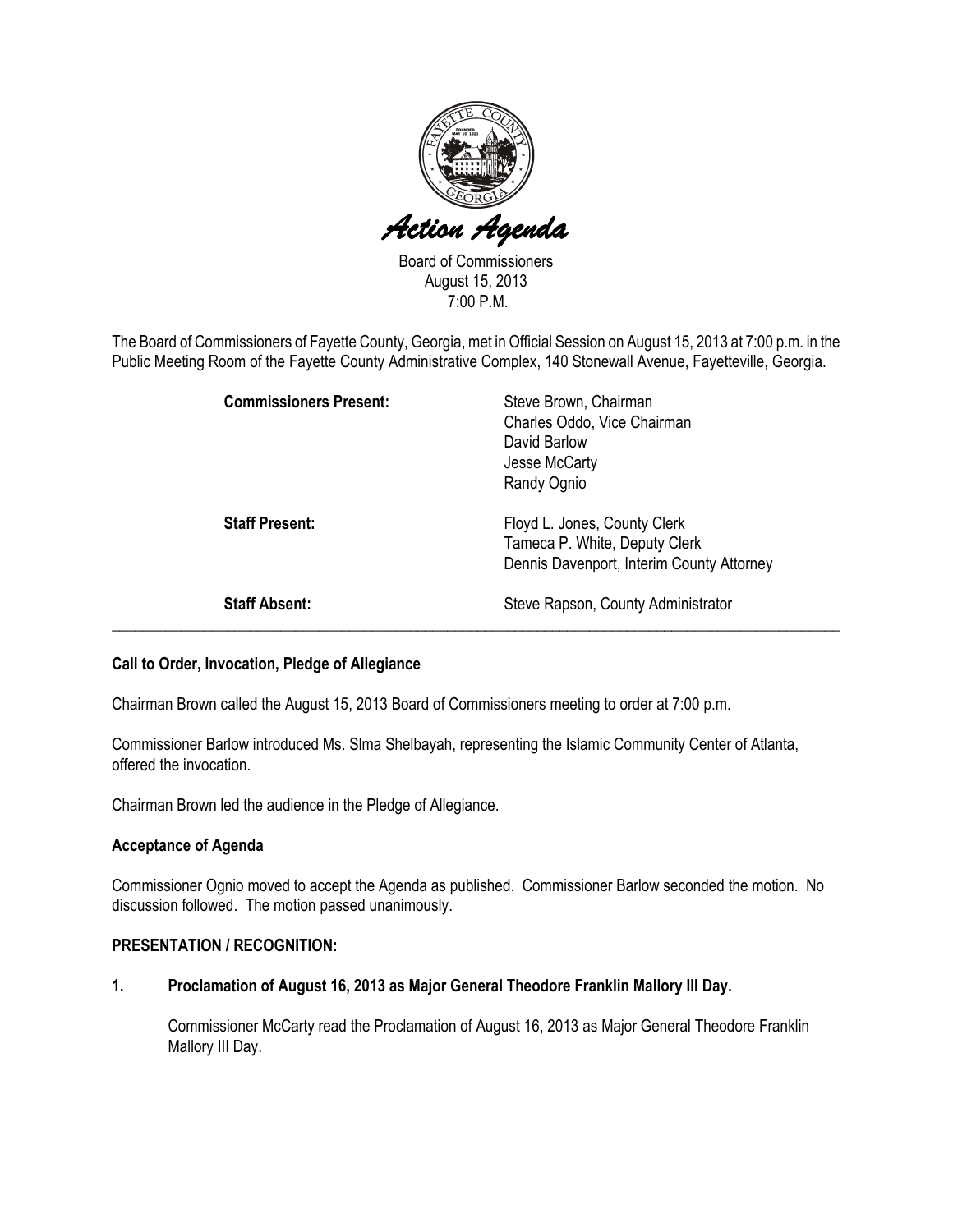

Board of Commissioners August 15, 2013 7:00 P.M.

The Board of Commissioners of Fayette County, Georgia, met in Official Session on August 15, 2013 at 7:00 p.m. in the Public Meeting Room of the Fayette County Administrative Complex, 140 Stonewall Avenue, Fayetteville, Georgia.

| <b>Commissioners Present:</b> | Steve Brown, Chairman<br>Charles Oddo, Vice Chairman<br>David Barlow<br>Jesse McCarty<br>Randy Ognio       |
|-------------------------------|------------------------------------------------------------------------------------------------------------|
| <b>Staff Present:</b>         | Floyd L. Jones, County Clerk<br>Tameca P. White, Deputy Clerk<br>Dennis Davenport, Interim County Attorney |
| <b>Staff Absent:</b>          | Steve Rapson, County Administrator                                                                         |

# Call to Order, Invocation, Pledge of Allegiance

Chairman Brown called the August 15, 2013 Board of Commissioners meeting to order at 7:00 p.m.

Commissioner Barlow introduced Ms. Slma Shelbayah, representing the Islamic Community Center of Atlanta, offered the invocation.

Chairman Brown led the audience in the Pledge of Allegiance.

# Acceptance of Agenda

Commissioner Ognio moved to accept the Agenda as published. Commissioner Barlow seconded the motion. No discussion followed. The motion passed unanimously.

#### PRESENTATION / RECOGNITION:

# 1. Proclamation of August 16, 2013 as Major General Theodore Franklin Mallory III Day.

Commissioner McCarty read the Proclamation of August 16, 2013 as Major General Theodore Franklin Mallory III Day.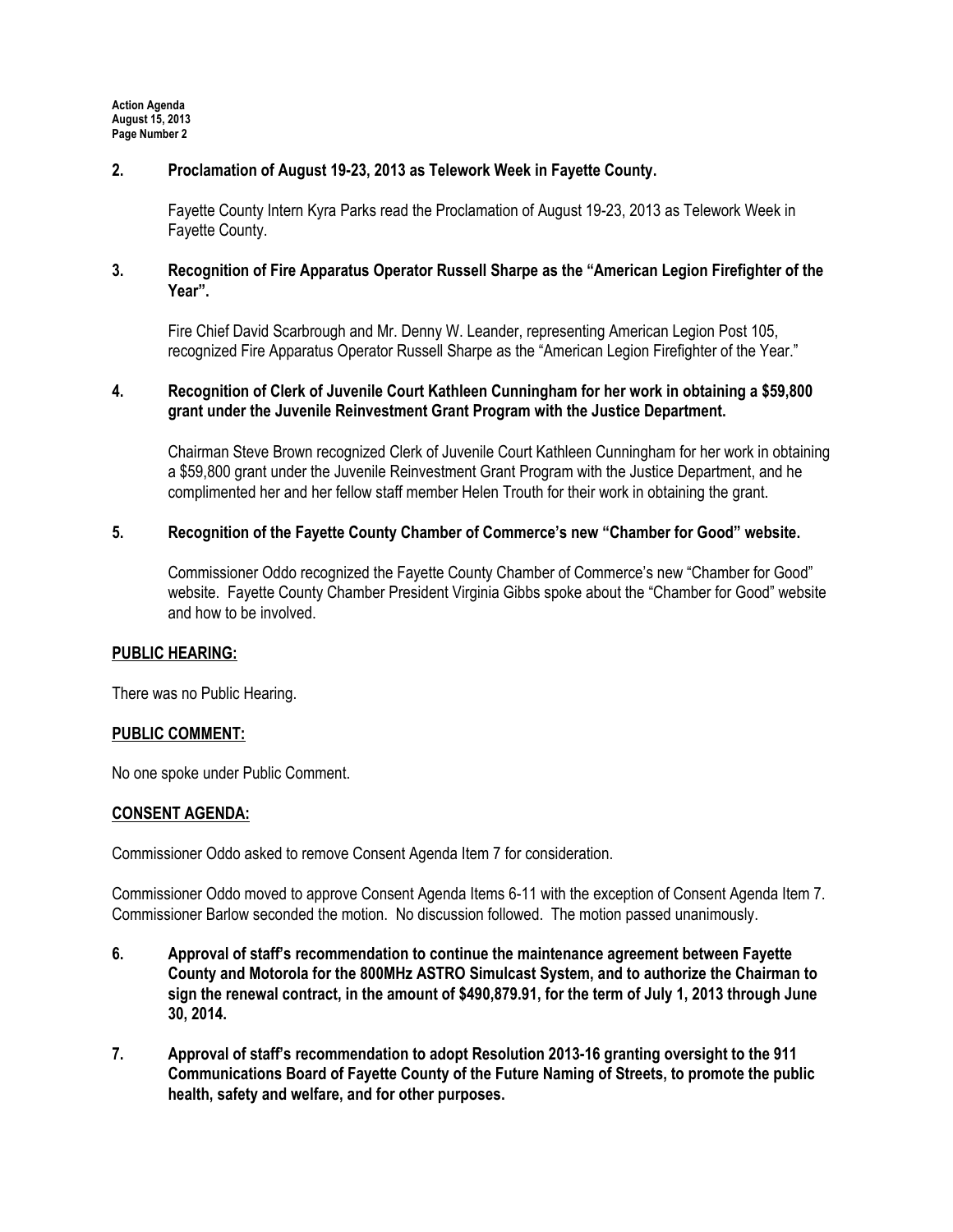Action Agenda August 15, 2013 Page Number 2

# 2. Proclamation of August 19-23, 2013 as Telework Week in Fayette County.

Fayette County Intern Kyra Parks read the Proclamation of August 19-23, 2013 as Telework Week in Fayette County.

# 3. Recognition of Fire Apparatus Operator Russell Sharpe as the "American Legion Firefighter of the Year".

Fire Chief David Scarbrough and Mr. Denny W. Leander, representing American Legion Post 105, recognized Fire Apparatus Operator Russell Sharpe as the "American Legion Firefighter of the Year."

# 4. Recognition of Clerk of Juvenile Court Kathleen Cunningham for her work in obtaining a \$59,800 grant under the Juvenile Reinvestment Grant Program with the Justice Department.

Chairman Steve Brown recognized Clerk of Juvenile Court Kathleen Cunningham for her work in obtaining a \$59,800 grant under the Juvenile Reinvestment Grant Program with the Justice Department, and he complimented her and her fellow staff member Helen Trouth for their work in obtaining the grant.

# 5. Recognition of the Fayette County Chamber of Commerce's new "Chamber for Good" website.

Commissioner Oddo recognized the Fayette County Chamber of Commerce's new "Chamber for Good" website. Fayette County Chamber President Virginia Gibbs spoke about the "Chamber for Good" website and how to be involved.

# PUBLIC HEARING:

There was no Public Hearing.

# PUBLIC COMMENT:

No one spoke under Public Comment.

# CONSENT AGENDA:

Commissioner Oddo asked to remove Consent Agenda Item 7 for consideration.

Commissioner Oddo moved to approve Consent Agenda Items 6-11 with the exception of Consent Agenda Item 7. Commissioner Barlow seconded the motion. No discussion followed. The motion passed unanimously.

- 6. Approval of staff's recommendation to continue the maintenance agreement between Fayette County and Motorola for the 800MHz ASTRO Simulcast System, and to authorize the Chairman to sign the renewal contract, in the amount of \$490,879.91, for the term of July 1, 2013 through June 30, 2014.
- 7. Approval of staff's recommendation to adopt Resolution 2013-16 granting oversight to the 911 Communications Board of Fayette County of the Future Naming of Streets, to promote the public health, safety and welfare, and for other purposes.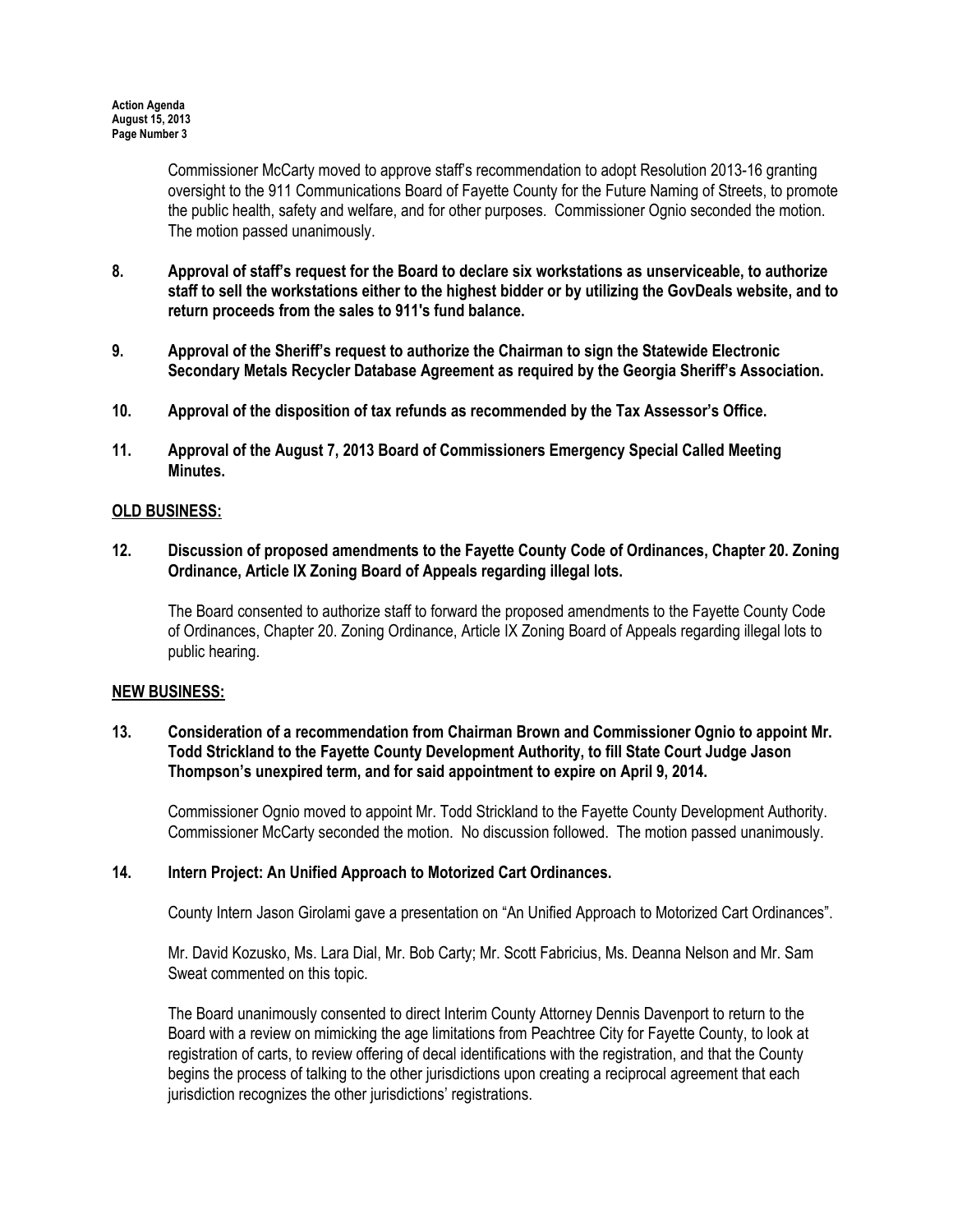Commissioner McCarty moved to approve staff's recommendation to adopt Resolution 2013-16 granting oversight to the 911 Communications Board of Fayette County for the Future Naming of Streets, to promote the public health, safety and welfare, and for other purposes. Commissioner Ognio seconded the motion. The motion passed unanimously.

- 8. Approval of staff's request for the Board to declare six workstations as unserviceable, to authorize staff to sell the workstations either to the highest bidder or by utilizing the GovDeals website, and to return proceeds from the sales to 911's fund balance.
- 9. Approval of the Sheriff's request to authorize the Chairman to sign the Statewide Electronic Secondary Metals Recycler Database Agreement as required by the Georgia Sheriff's Association.
- 10. Approval of the disposition of tax refunds as recommended by the Tax Assessor's Office.
- 11. Approval of the August 7, 2013 Board of Commissioners Emergency Special Called Meeting Minutes.

### OLD BUSINESS:

12. Discussion of proposed amendments to the Fayette County Code of Ordinances, Chapter 20. Zoning Ordinance, Article IX Zoning Board of Appeals regarding illegal lots.

The Board consented to authorize staff to forward the proposed amendments to the Fayette County Code of Ordinances, Chapter 20. Zoning Ordinance, Article IX Zoning Board of Appeals regarding illegal lots to public hearing.

#### NEW BUSINESS:

13. Consideration of a recommendation from Chairman Brown and Commissioner Ognio to appoint Mr. Todd Strickland to the Fayette County Development Authority, to fill State Court Judge Jason Thompson's unexpired term, and for said appointment to expire on April 9, 2014.

Commissioner Ognio moved to appoint Mr. Todd Strickland to the Fayette County Development Authority. Commissioner McCarty seconded the motion. No discussion followed. The motion passed unanimously.

### 14. Intern Project: An Unified Approach to Motorized Cart Ordinances.

County Intern Jason Girolami gave a presentation on "An Unified Approach to Motorized Cart Ordinances".

Mr. David Kozusko, Ms. Lara Dial, Mr. Bob Carty; Mr. Scott Fabricius, Ms. Deanna Nelson and Mr. Sam Sweat commented on this topic.

The Board unanimously consented to direct Interim County Attorney Dennis Davenport to return to the Board with a review on mimicking the age limitations from Peachtree City for Fayette County, to look at registration of carts, to review offering of decal identifications with the registration, and that the County begins the process of talking to the other jurisdictions upon creating a reciprocal agreement that each jurisdiction recognizes the other jurisdictions' registrations.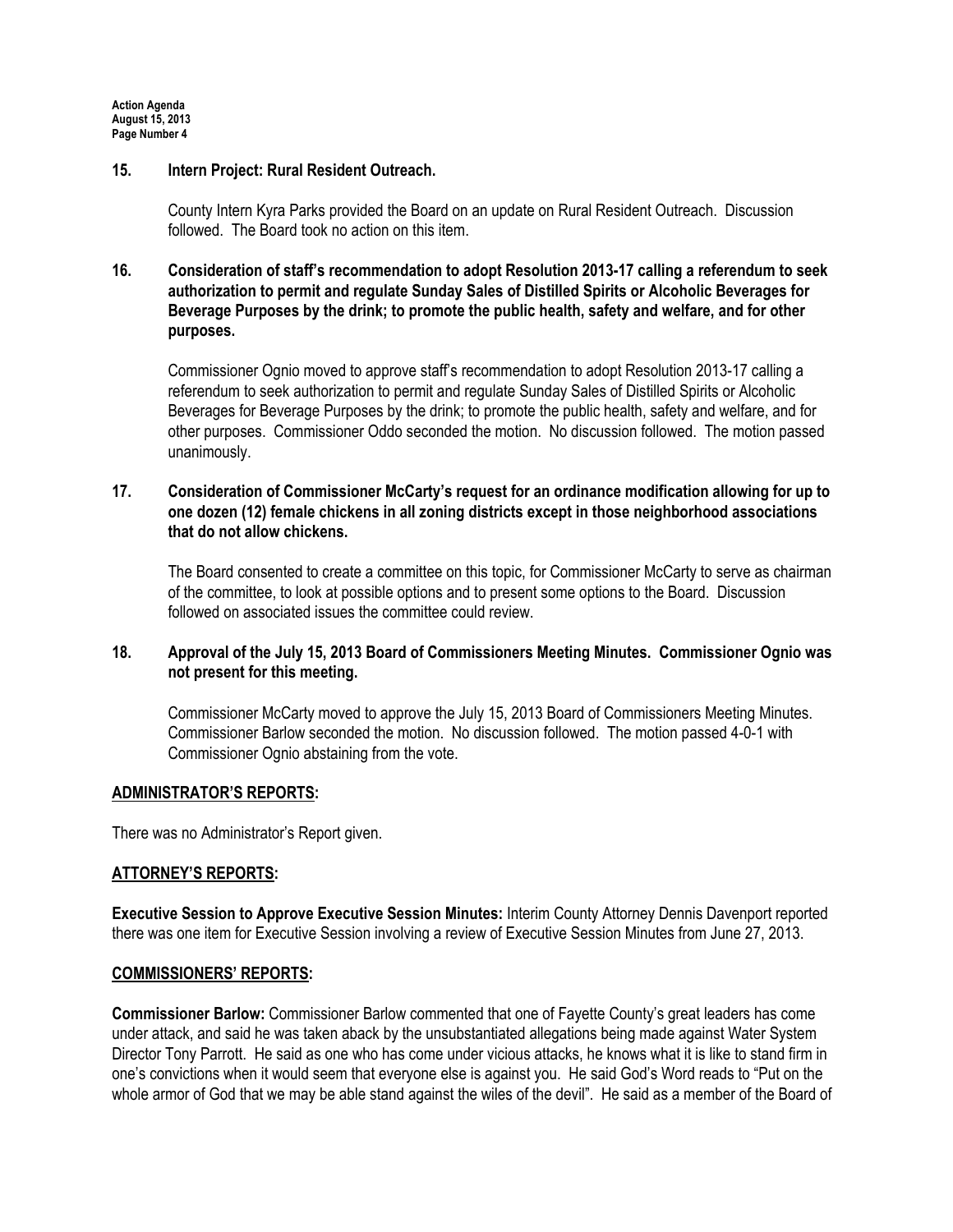### 15. Intern Project: Rural Resident Outreach.

County Intern Kyra Parks provided the Board on an update on Rural Resident Outreach. Discussion followed. The Board took no action on this item.

# 16. Consideration of staff's recommendation to adopt Resolution 2013-17 calling a referendum to seek authorization to permit and regulate Sunday Sales of Distilled Spirits or Alcoholic Beverages for Beverage Purposes by the drink; to promote the public health, safety and welfare, and for other purposes.

Commissioner Ognio moved to approve staff's recommendation to adopt Resolution 2013-17 calling a referendum to seek authorization to permit and regulate Sunday Sales of Distilled Spirits or Alcoholic Beverages for Beverage Purposes by the drink; to promote the public health, safety and welfare, and for other purposes. Commissioner Oddo seconded the motion. No discussion followed. The motion passed unanimously.

# 17. Consideration of Commissioner McCarty's request for an ordinance modification allowing for up to one dozen (12) female chickens in all zoning districts except in those neighborhood associations that do not allow chickens.

The Board consented to create a committee on this topic, for Commissioner McCarty to serve as chairman of the committee, to look at possible options and to present some options to the Board. Discussion followed on associated issues the committee could review.

# 18. Approval of the July 15, 2013 Board of Commissioners Meeting Minutes. Commissioner Ognio was not present for this meeting.

Commissioner McCarty moved to approve the July 15, 2013 Board of Commissioners Meeting Minutes. Commissioner Barlow seconded the motion. No discussion followed. The motion passed 4-0-1 with Commissioner Ognio abstaining from the vote.

# ADMINISTRATOR'S REPORTS:

There was no Administrator's Report given.

# ATTORNEY'S REPORTS:

Executive Session to Approve Executive Session Minutes: Interim County Attorney Dennis Davenport reported there was one item for Executive Session involving a review of Executive Session Minutes from June 27, 2013.

# COMMISSIONERS' REPORTS:

Commissioner Barlow: Commissioner Barlow commented that one of Fayette County's great leaders has come under attack, and said he was taken aback by the unsubstantiated allegations being made against Water System Director Tony Parrott. He said as one who has come under vicious attacks, he knows what it is like to stand firm in one's convictions when it would seem that everyone else is against you. He said God's Word reads to "Put on the whole armor of God that we may be able stand against the wiles of the devil". He said as a member of the Board of